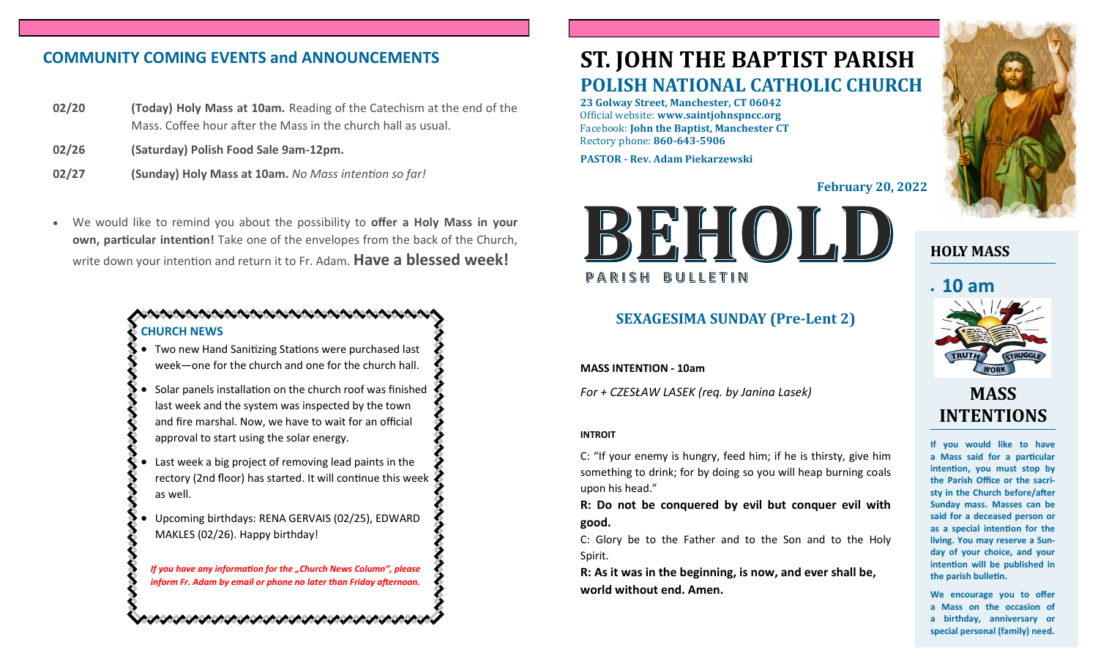# **COMMUNITY COMING EVENTS and ANNOUNCEMENTS**

- **02/20 (Today) Holy Mass at 10am.** Reading of the Catechism at the end of the Mass. Coffee hour after the Mass in the church hall as usual.
- **02/26 (Saturday) Polish Food Sale 9am-12pm.**
- **02/27 (Sunday) Holy Mass at 10am.** *No Mass intention so far!*
- We would like to remind you about the possibility to **offer a Holy Mass in your own, particular intention!** Take one of the envelopes from the back of the Church, write down your intention and return it to Fr. Adam. **Have a blessed week!**

## . NA NA NA NA NA NA NA NA NA NA NA **CHURCH NEWS**

- Two new Hand Sanitizing Stations were purchased last week—one for the church and one for the church hall.
- Solar panels installation on the church roof was finished last week and the system was inspected by the town and fire marshal. Now, we have to wait for an official approval to start using the solar energy.
- Last week a big project of removing lead paints in the rectory (2nd floor) has started. It will continue this week as well.
- Upcoming birthdays: RENA GERVAIS (02/25), EDWARD MAKLES (02/26). Happy birthday!

*If you have any information for the "Church News Column", please inform Fr. Adam by email or phone no later than Friday afternoon.*

ひんけいさいけいさい けいさいけいさいけいさい

# **ST. JOHN THE BAPTIST PARISH POLISH NATIONAL CATHOLIC CHURCH**

**23 Golway Street, Manchester, CT 06042** Official website: **www.saintjohnspncc.org** Facebook: **John the Baptist, Manchester CT** Rectory phone: **860-643-5906** 

**PASTOR - Rev. Adam Piekarzewski**

**February 20, 2022**



# **SEXAGESIMA SUNDAY (Pre-Lent 2)**

**MASS INTENTION - 10am**

*For + CZESŁAW LASEK (req. by Janina Lasek)*

#### **INTROIT**

C: "If your enemy is hungry, feed him; if he is thirsty, give him something to drink; for by doing so you will heap burning coals upon his head."

**R: Do not be conquered by evil but conquer evil with good.**

C: Glory be to the Father and to the Son and to the Holy Spirit.

**R: As it was in the beginning, is now, and ever shall be, world without end. Amen.**



**HOLY MASS**

# • **10 am**



# **MASS INTENTIONS**

**If you would like to have a Mass said for a particular intention, you must stop by the Parish Office or the sacristy in the Church before/after Sunday mass. Masses can be said for a deceased person or as a special intention for the living. You may reserve a Sunday of your choice, and your intention will be published in the parish bulletin.**

**We encourage you to offer a Mass on the occasion of a birthday, anniversary or special personal (family) need.**